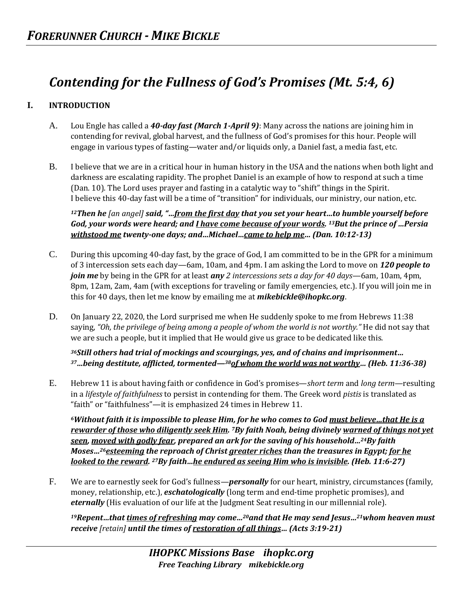# *Contending for the Fullness of God's Promises (Mt. 5:4, 6)*

## **I. INTRODUCTION**

- A. Lou Engle has called a *40-day fast (March 1-April 9)*: Many across the nations are joining him in contending for revival, global harvest, and the fullness of God's promises for this hour. People will engage in various types of fasting—water and/or liquids only, a Daniel fast, a media fast, etc.
- B. I believe that we are in a critical hour in human history in the USA and the nations when both light and darkness are escalating rapidity. The prophet Daniel is an example of how to respond at such a time (Dan. 10). The Lord uses prayer and fasting in a catalytic way to "shift" things in the Spirit. I believe this 40-day fast will be a time of "transition" for individuals, our ministry, our nation, etc.

*<sup>12</sup>Then he [an angel] said, "…from the first day that you set your heart…to humble yourself before God, your words were heard; and I have come because of your words. <sup>13</sup>But the prince of …Persia withstood me twenty-one days; and…Michael…came to help me… (Dan. 10:12-13)* 

- C. During this upcoming 40-day fast, by the grace of God, I am committed to be in the GPR for a minimum of 3 intercession sets each day—6am, 10am, and 4pm. I am asking the Lord to move on *120 people to join me* by being in the GPR for at least *any 2 intercessions sets a day for 40 days*—6am, 10am, 4pm, 8pm, 12am, 2am, 4am (with exceptions for traveling or family emergencies, etc.). If you will join me in this for 40 days, then let me know by emailing me at *mikebickle@ihopkc.org*.
- D. On January 22, 2020, the Lord surprised me when He suddenly spoke to me from Hebrews 11:38 saying, *"Oh, the privilege of being among a people of whom the world is not worthy."* He did not say that we are such a people, but it implied that He would give us grace to be dedicated like this.

*<sup>36</sup>Still others had trial of mockings and scourgings, yes, and of chains and imprisonment… <sup>37</sup>…being destitute, afflicted, tormented—38of whom the world was not worthy… (Heb. 11:36-38)* 

E. Hebrew 11 is about having faith or confidence in God's promises—*short term* and *long term—*resulting in a *lifestyle of faithfulness* to persist in contending for them. The Greek word *pistis* is translated as "faith" or "faithfulness"—it is emphasized 24 times in Hebrew 11.

*<sup>6</sup>Without faith it is impossible to please Him, for he who comes to God must believe…that He is a rewarder of those who diligently seek Him. <sup>7</sup>By faith Noah, being divinely warned of things not yet seen, moved with godly fear, prepared an ark for the saving of his household…24By faith Moses…26esteeming the reproach of Christ greater riches than the treasures in Egypt; for he looked to the reward. <sup>27</sup>By faith…he endured as seeing Him who is invisible. (Heb. 11:6-27)* 

F. We are to earnestly seek for God's fullness—*personally* for our heart, ministry, circumstances (family, money, relationship, etc.), *eschatologically* (long term and end-time prophetic promises), and *eternally* (His evaluation of our life at the Judgment Seat resulting in our millennial role).

*<sup>19</sup>Repent…that times of refreshing may come…20and that He may send Jesus…21whom heaven must receive [retain] until the times of restoration of all things… (Acts 3:19-21)*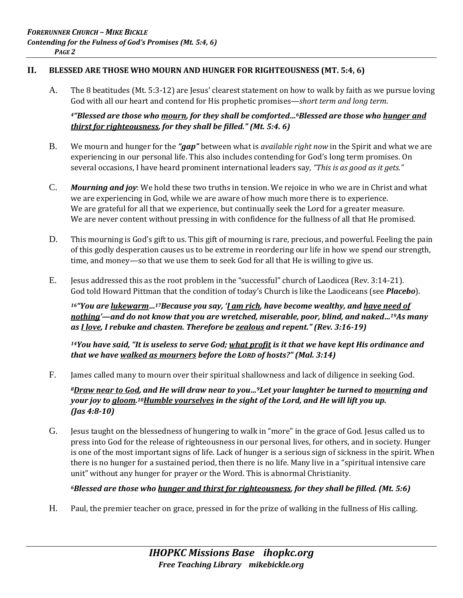#### **II. BLESSED ARE THOSE WHO MOURN AND HUNGER FOR RIGHTEOUSNESS (MT. 5:4, 6)**

A. The 8 beatitudes (Mt. 5:3-12) are Jesus' clearest statement on how to walk by faith as we pursue loving God with all our heart and contend for His prophetic promises—*short term and long term*.

#### *<sup>4</sup>"Blessed are those who mourn, for they shall be comforted…6Blessed are those who hunger and thirst for righteousness, for they shall be filled." (Mt. 5:4. 6)*

- B. We mourn and hunger for the *"gap"* between what is *available right now* in the Spirit and what we are experiencing in our personal life. This also includes contending for God's long term promises. On several occasions, I have heard prominent international leaders say, *"This is as good as it gets."*
- C. *Mourning and joy*: We hold these two truths in tension. We rejoice in who we are in Christ and what we are experiencing in God, while we are aware of how much more there is to experience. We are grateful for all that we experience, but continually seek the Lord for a greater measure. We are never content without pressing in with confidence for the fullness of all that He promised.
- D. This mourning is God's gift to us. This gift of mourning is rare, precious, and powerful. Feeling the pain of this godly desperation causes us to be extreme in reordering our life in how we spend our strength, time, and money—so that we use them to seek God for all that He is willing to give us.
- E. Jesus addressed this as the root problem in the "successful" church of Laodicea (Rev. 3:14-21). God told Howard Pittman that the condition of today's Church is like the Laodiceans (see *Placebo*).

*<sup>16</sup>"You are lukewarm…17Because you say, 'I am rich, have become wealthy, and have need of nothing'—and do not know that you are wretched, miserable, poor, blind, and naked…19As many as I love, I rebuke and chasten. Therefore be zealous and repent." (Rev. 3:16-19)* 

*<sup>14</sup>You have said, "It is useless to serve God; what profit is it that we have kept His ordinance and that we have walked as mourners before the LORD of hosts?" (Mal. 3:14)* 

F. James called many to mourn over their spiritual shallowness and lack of diligence in seeking God.

*<sup>8</sup>Draw near to God, and He will draw near to you…9Let your laughter be turned to mourning and your joy to gloom. <sup>10</sup>Humble yourselves in the sight of the Lord, and He will lift you up. (Jas 4:8-10)* 

G. Jesus taught on the blessedness of hungering to walk in "more" in the grace of God. Jesus called us to press into God for the release of righteousness in our personal lives, for others, and in society. Hunger is one of the most important signs of life. Lack of hunger is a serious sign of sickness in the spirit. When there is no hunger for a sustained period, then there is no life. Many live in a "spiritual intensive care unit" without any hunger for prayer or the Word. This is abnormal Christianity.

### *<sup>6</sup>Blessed are those who hunger and thirst for righteousness, for they shall be filled. (Mt. 5:6)*

H. Paul, the premier teacher on grace, pressed in for the prize of walking in the fullness of His calling.